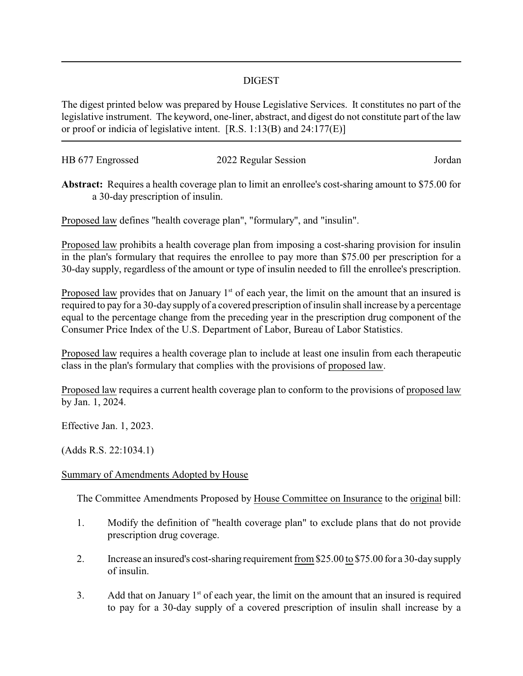## DIGEST

The digest printed below was prepared by House Legislative Services. It constitutes no part of the legislative instrument. The keyword, one-liner, abstract, and digest do not constitute part of the law or proof or indicia of legislative intent. [R.S. 1:13(B) and 24:177(E)]

| HB 677 Engrossed | 2022 Regular Session | Jordan |
|------------------|----------------------|--------|
|                  |                      |        |

**Abstract:** Requires a health coverage plan to limit an enrollee's cost-sharing amount to \$75.00 for a 30-day prescription of insulin.

Proposed law defines "health coverage plan", "formulary", and "insulin".

Proposed law prohibits a health coverage plan from imposing a cost-sharing provision for insulin in the plan's formulary that requires the enrollee to pay more than \$75.00 per prescription for a 30-day supply, regardless of the amount or type of insulin needed to fill the enrollee's prescription.

Proposed law provides that on January  $1<sup>st</sup>$  of each year, the limit on the amount that an insured is required to pay for a 30-day supply of a covered prescription of insulin shall increase by a percentage equal to the percentage change from the preceding year in the prescription drug component of the Consumer Price Index of the U.S. Department of Labor, Bureau of Labor Statistics.

Proposed law requires a health coverage plan to include at least one insulin from each therapeutic class in the plan's formulary that complies with the provisions of proposed law.

Proposed law requires a current health coverage plan to conform to the provisions of proposed law by Jan. 1, 2024.

Effective Jan. 1, 2023.

(Adds R.S. 22:1034.1)

## Summary of Amendments Adopted by House

The Committee Amendments Proposed by House Committee on Insurance to the original bill:

- 1. Modify the definition of "health coverage plan" to exclude plans that do not provide prescription drug coverage.
- 2. Increase an insured's cost-sharing requirement from \$25.00 to \$75.00 for a 30-daysupply of insulin.
- 3. Add that on January  $1<sup>st</sup>$  of each year, the limit on the amount that an insured is required to pay for a 30-day supply of a covered prescription of insulin shall increase by a